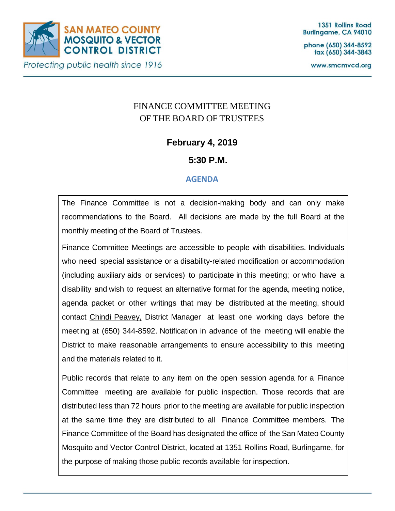

phone (650) 344-8592 fax (650) 344-3843

www.smcmvcd.org

# FINANCE COMMITTEE MEETING OF THE BOARD OF TRUSTEES

## **February 4, 2019**

## **5:30 P.M.**

## **AGENDA**

The Finance Committee is not a decision-making body and can only make recommendations to the Board. All decisions are made by the full Board at the monthly meeting of the Board of Trustees.

Finance Committee Meetings are accessible to people with disabilities. Individuals who need special assistance or a disability-related modification or accommodation (including auxiliary aids or services) to participate in this meeting; or who have a disability and wish to request an alternative format for the agenda, meeting notice, agenda packet or other writings that may be distributed at the meeting, should contact Chindi Peavey, District Manager at least one working days before the meeting at (650) 344-8592. Notification in advance of the meeting will enable the District to make reasonable arrangements to ensure accessibility to this meeting and the materials related to it.

Public records that relate to any item on the open session agenda for a Finance Committee meeting are available for public inspection. Those records that are distributed less than 72 hours prior to the meeting are available for public inspection at the same time they are distributed to all Finance Committee members. The Finance Committee of the Board has designated the office of the San Mateo County Mosquito and Vector Control District, located at 1351 Rollins Road, Burlingame, for the purpose of making those public records available for inspection.